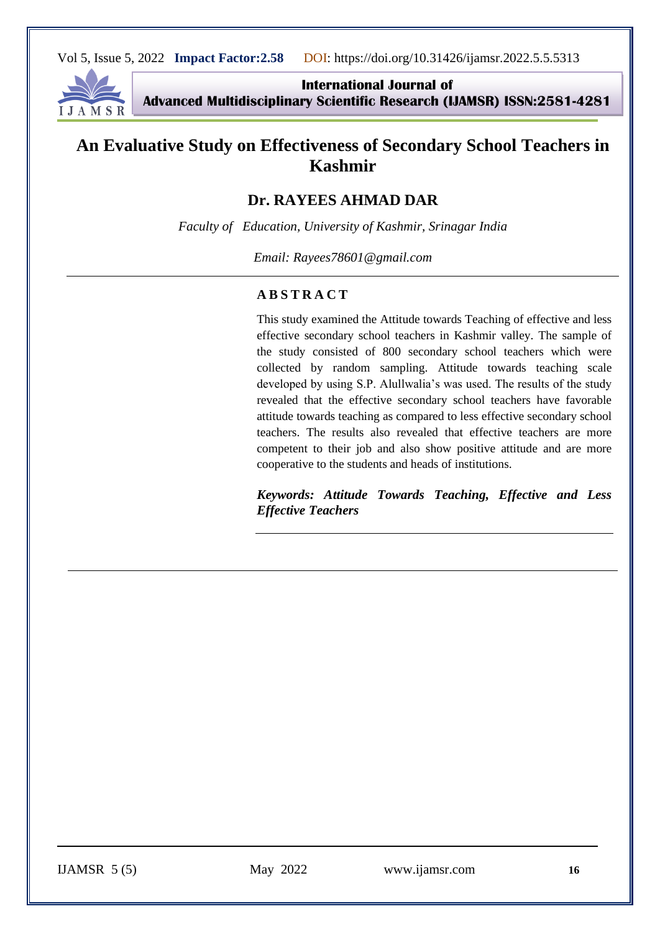

**International Journal of Advanced Multidisciplinary Scientific Research (IJAMSR) ISSN:2581-4281**

# **An Evaluative Study on Effectiveness of Secondary School Teachers in Kashmir**

# **Dr. RAYEES AHMAD DAR**

*Faculty of Education, University of Kashmir, Srinagar India*

*Email: Rayees78601@gmail.com*

#### **A B S T R A C T**

This study examined the Attitude towards Teaching of effective and less effective secondary school teachers in Kashmir valley. The sample of the study consisted of 800 secondary school teachers which were collected by random sampling. Attitude towards teaching scale developed by using S.P. Alullwalia's was used. The results of the study revealed that the effective secondary school teachers have favorable attitude towards teaching as compared to less effective secondary school teachers. The results also revealed that effective teachers are more competent to their job and also show positive attitude and are more cooperative to the students and heads of institutions.

*Keywords: Attitude Towards Teaching, Effective and Less Effective Teachers*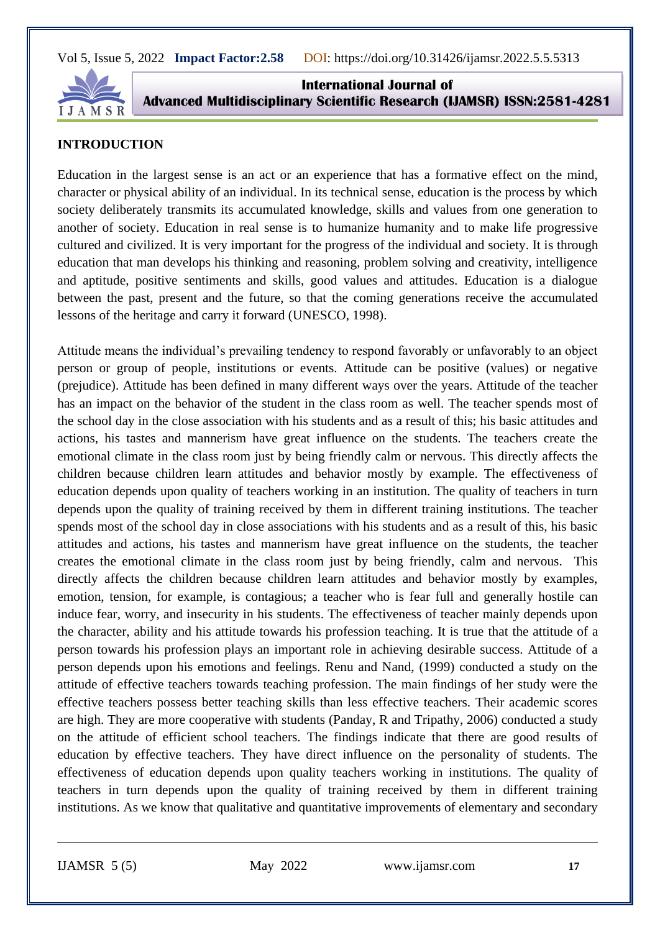

**International Journal of Advanced Multidisciplinary Scientific Research (IJAMSR) ISSN:2581-4281**

### **INTRODUCTION**

Education in the largest sense is an act or an experience that has a formative effect on the mind, character or physical ability of an individual. In its technical sense, education is the process by which society deliberately transmits its accumulated knowledge, skills and values from one generation to another of society. Education in real sense is to humanize humanity and to make life progressive cultured and civilized. It is very important for the progress of the individual and society. It is through education that man develops his thinking and reasoning, problem solving and creativity, intelligence and aptitude, positive sentiments and skills, good values and attitudes. Education is a dialogue between the past, present and the future, so that the coming generations receive the accumulated lessons of the heritage and carry it forward (UNESCO, 1998).

Attitude means the individual's prevailing tendency to respond favorably or unfavorably to an object person or group of people, institutions or events. Attitude can be positive (values) or negative (prejudice). Attitude has been defined in many different ways over the years. Attitude of the teacher has an impact on the behavior of the student in the class room as well. The teacher spends most of the school day in the close association with his students and as a result of this; his basic attitudes and actions, his tastes and mannerism have great influence on the students. The teachers create the emotional climate in the class room just by being friendly calm or nervous. This directly affects the children because children learn attitudes and behavior mostly by example. The effectiveness of education depends upon quality of teachers working in an institution. The quality of teachers in turn depends upon the quality of training received by them in different training institutions. The teacher spends most of the school day in close associations with his students and as a result of this, his basic attitudes and actions, his tastes and mannerism have great influence on the students, the teacher creates the emotional climate in the class room just by being friendly, calm and nervous. This directly affects the children because children learn attitudes and behavior mostly by examples, emotion, tension, for example, is contagious; a teacher who is fear full and generally hostile can induce fear, worry, and insecurity in his students. The effectiveness of teacher mainly depends upon the character, ability and his attitude towards his profession teaching. It is true that the attitude of a person towards his profession plays an important role in achieving desirable success. Attitude of a person depends upon his emotions and feelings. Renu and Nand, (1999) conducted a study on the attitude of effective teachers towards teaching profession. The main findings of her study were the effective teachers possess better teaching skills than less effective teachers. Their academic scores are high. They are more cooperative with students (Panday, R and Tripathy, 2006) conducted a study on the attitude of efficient school teachers. The findings indicate that there are good results of education by effective teachers. They have direct influence on the personality of students. The effectiveness of education depends upon quality teachers working in institutions. The quality of teachers in turn depends upon the quality of training received by them in different training institutions. As we know that qualitative and quantitative improvements of elementary and secondary

IJAMSR 5 (5) May 2022 [www.ijamsr.com](http://www.ijamsr.com/) **17**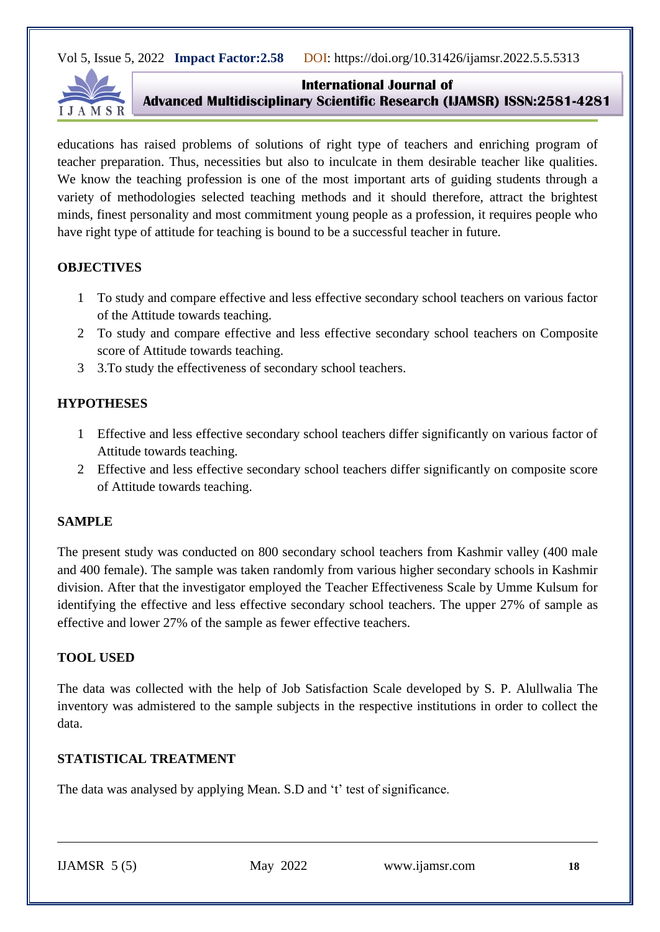

#### **International Journal of**

**Advanced Multidisciplinary Scientific Research (IJAMSR) ISSN:2581-4281**

educations has raised problems of solutions of right type of teachers and enriching program of teacher preparation. Thus, necessities but also to inculcate in them desirable teacher like qualities. We know the teaching profession is one of the most important arts of guiding students through a variety of methodologies selected teaching methods and it should therefore, attract the brightest minds, finest personality and most commitment young people as a profession, it requires people who have right type of attitude for teaching is bound to be a successful teacher in future.

# **OBJECTIVES**

- 1 To study and compare effective and less effective secondary school teachers on various factor of the Attitude towards teaching.
- 2 To study and compare effective and less effective secondary school teachers on Composite score of Attitude towards teaching.
- 3 3.To study the effectiveness of secondary school teachers.

# **HYPOTHESES**

- 1 Effective and less effective secondary school teachers differ significantly on various factor of Attitude towards teaching.
- 2 Effective and less effective secondary school teachers differ significantly on composite score of Attitude towards teaching.

# **SAMPLE**

The present study was conducted on 800 secondary school teachers from Kashmir valley (400 male and 400 female). The sample was taken randomly from various higher secondary schools in Kashmir division. After that the investigator employed the Teacher Effectiveness Scale by Umme Kulsum for identifying the effective and less effective secondary school teachers. The upper 27% of sample as effective and lower 27% of the sample as fewer effective teachers.

# **TOOL USED**

The data was collected with the help of Job Satisfaction Scale developed by S. P. Alullwalia The inventory was admistered to the sample subjects in the respective institutions in order to collect the data.

# **STATISTICAL TREATMENT**

The data was analysed by applying Mean. S.D and 't' test of significance.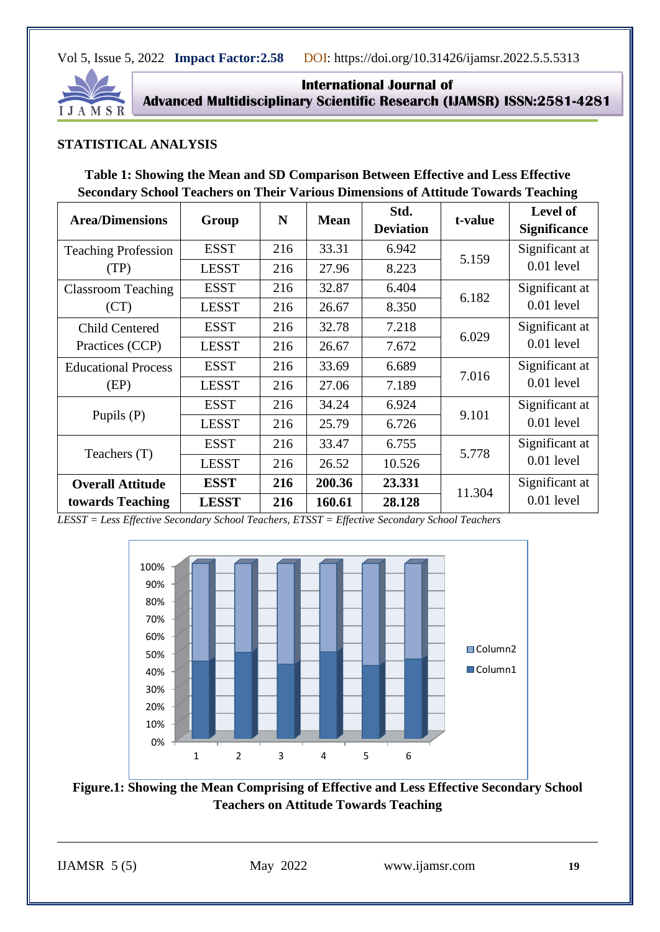

**International Journal of Advanced Multidisciplinary Scientific Research (IJAMSR) ISSN:2581-4281**

### **STATISTICAL ANALYSIS**

| Table 1: Showing the Mean and SD Comparison Between Effective and Less Effective          |
|-------------------------------------------------------------------------------------------|
| <b>Secondary School Teachers on Their Various Dimensions of Attitude Towards Teaching</b> |

| <b>Area/Dimensions</b>                      | Group        | N   | <b>Mean</b> | Std.<br><b>Deviation</b> | t-value | Level of<br><b>Significance</b> |
|---------------------------------------------|--------------|-----|-------------|--------------------------|---------|---------------------------------|
| <b>Teaching Profession</b><br>(TP)          | <b>ESST</b>  | 216 | 33.31       | 6.942                    | 5.159   | Significant at                  |
|                                             | <b>LESST</b> | 216 | 27.96       | 8.223                    |         | 0.01 level                      |
| <b>Classroom Teaching</b><br>(CT)           | <b>ESST</b>  | 216 | 32.87       | 6.404                    | 6.182   | Significant at                  |
|                                             | <b>LESST</b> | 216 | 26.67       | 8.350                    |         | $0.01$ level                    |
| <b>Child Centered</b><br>Practices (CCP)    | <b>ESST</b>  | 216 | 32.78       | 7.218                    | 6.029   | Significant at                  |
|                                             | <b>LESST</b> | 216 | 26.67       | 7.672                    |         | $0.01$ level                    |
| <b>Educational Process</b><br>(EP)          | <b>ESST</b>  | 216 | 33.69       | 6.689                    | 7.016   | Significant at                  |
|                                             | <b>LESST</b> | 216 | 27.06       | 7.189                    |         | $0.01$ level                    |
| Pupils (P)                                  | <b>ESST</b>  | 216 | 34.24       | 6.924                    | 9.101   | Significant at<br>$0.01$ level  |
|                                             | <b>LESST</b> | 216 | 25.79       | 6.726                    |         |                                 |
| Teachers (T)                                | <b>ESST</b>  | 216 | 33.47       | 6.755                    | 5.778   | Significant at<br>$0.01$ level  |
|                                             | <b>LESST</b> | 216 | 26.52       | 10.526                   |         |                                 |
| <b>Overall Attitude</b><br>towards Teaching | <b>ESST</b>  | 216 | 200.36      | 23.331                   | 11.304  | Significant at                  |
|                                             | <b>LESST</b> | 216 | 160.61      | 28.128                   |         | $0.01$ level                    |

*LESST = Less Effective Secondary School Teachers, ETSST = Effective Secondary School Teachers*



**Figure.1: Showing the Mean Comprising of Effective and Less Effective Secondary School Teachers on Attitude Towards Teaching**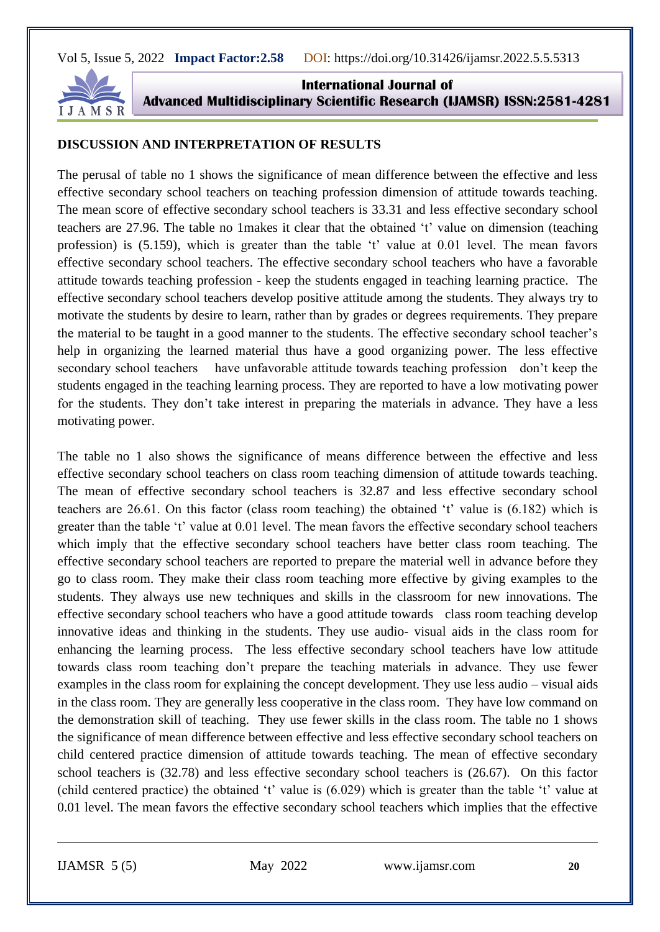

**International Journal of Advanced Multidisciplinary Scientific Research (IJAMSR) ISSN:2581-4281**

#### **DISCUSSION AND INTERPRETATION OF RESULTS**

The perusal of table no 1 shows the significance of mean difference between the effective and less effective secondary school teachers on teaching profession dimension of attitude towards teaching. The mean score of effective secondary school teachers is 33.31 and less effective secondary school teachers are 27.96. The table no 1makes it clear that the obtained 't' value on dimension (teaching profession) is (5.159), which is greater than the table 't' value at 0.01 level. The mean favors effective secondary school teachers. The effective secondary school teachers who have a favorable attitude towards teaching profession - keep the students engaged in teaching learning practice. The effective secondary school teachers develop positive attitude among the students. They always try to motivate the students by desire to learn, rather than by grades or degrees requirements. They prepare the material to be taught in a good manner to the students. The effective secondary school teacher's help in organizing the learned material thus have a good organizing power. The less effective secondary school teachers have unfavorable attitude towards teaching profession don't keep the students engaged in the teaching learning process. They are reported to have a low motivating power for the students. They don't take interest in preparing the materials in advance. They have a less motivating power.

The table no 1 also shows the significance of means difference between the effective and less effective secondary school teachers on class room teaching dimension of attitude towards teaching. The mean of effective secondary school teachers is 32.87 and less effective secondary school teachers are 26.61. On this factor (class room teaching) the obtained 't' value is (6.182) which is greater than the table 't' value at 0.01 level. The mean favors the effective secondary school teachers which imply that the effective secondary school teachers have better class room teaching. The effective secondary school teachers are reported to prepare the material well in advance before they go to class room. They make their class room teaching more effective by giving examples to the students. They always use new techniques and skills in the classroom for new innovations. The effective secondary school teachers who have a good attitude towards class room teaching develop innovative ideas and thinking in the students. They use audio- visual aids in the class room for enhancing the learning process. The less effective secondary school teachers have low attitude towards class room teaching don't prepare the teaching materials in advance. They use fewer examples in the class room for explaining the concept development. They use less audio – visual aids in the class room. They are generally less cooperative in the class room. They have low command on the demonstration skill of teaching. They use fewer skills in the class room. The table no 1 shows the significance of mean difference between effective and less effective secondary school teachers on child centered practice dimension of attitude towards teaching. The mean of effective secondary school teachers is (32.78) and less effective secondary school teachers is (26.67). On this factor (child centered practice) the obtained 't' value is (6.029) which is greater than the table 't' value at 0.01 level. The mean favors the effective secondary school teachers which implies that the effective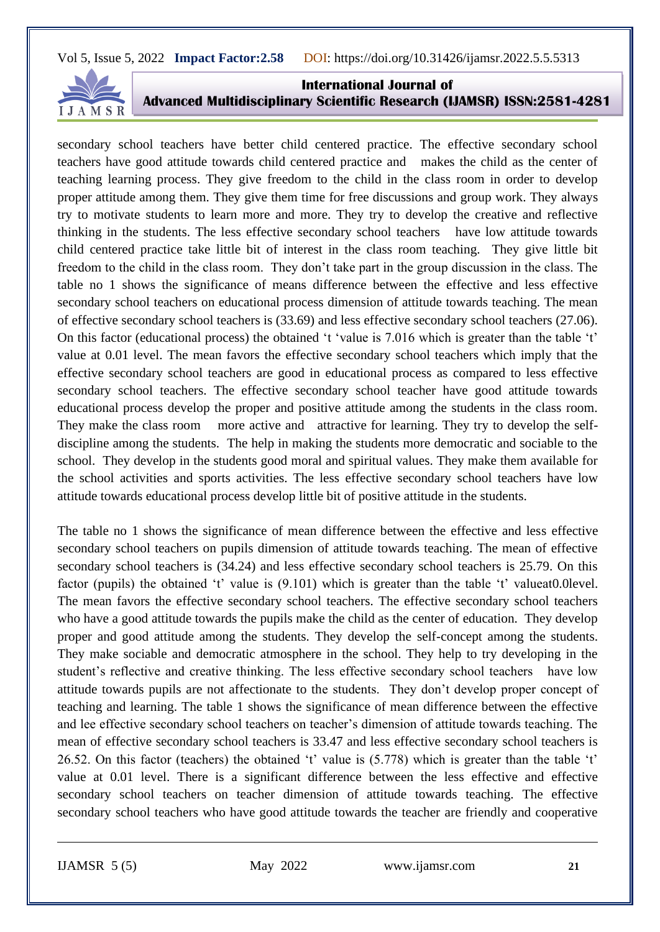

**International Journal of Advanced Multidisciplinary Scientific Research (IJAMSR) ISSN:2581-4281**

secondary school teachers have better child centered practice. The effective secondary school teachers have good attitude towards child centered practice and makes the child as the center of teaching learning process. They give freedom to the child in the class room in order to develop proper attitude among them. They give them time for free discussions and group work. They always try to motivate students to learn more and more. They try to develop the creative and reflective thinking in the students. The less effective secondary school teachers have low attitude towards child centered practice take little bit of interest in the class room teaching. They give little bit freedom to the child in the class room. They don't take part in the group discussion in the class. The table no 1 shows the significance of means difference between the effective and less effective secondary school teachers on educational process dimension of attitude towards teaching. The mean of effective secondary school teachers is (33.69) and less effective secondary school teachers (27.06). On this factor (educational process) the obtained 't 'value is 7.016 which is greater than the table 't' value at 0.01 level. The mean favors the effective secondary school teachers which imply that the effective secondary school teachers are good in educational process as compared to less effective secondary school teachers. The effective secondary school teacher have good attitude towards educational process develop the proper and positive attitude among the students in the class room. They make the class room more active and attractive for learning. They try to develop the selfdiscipline among the students. The help in making the students more democratic and sociable to the school. They develop in the students good moral and spiritual values. They make them available for the school activities and sports activities. The less effective secondary school teachers have low attitude towards educational process develop little bit of positive attitude in the students.

The table no 1 shows the significance of mean difference between the effective and less effective secondary school teachers on pupils dimension of attitude towards teaching. The mean of effective secondary school teachers is (34.24) and less effective secondary school teachers is 25.79. On this factor (pupils) the obtained 't' value is (9.101) which is greater than the table 't' valueat0.0level. The mean favors the effective secondary school teachers. The effective secondary school teachers who have a good attitude towards the pupils make the child as the center of education. They develop proper and good attitude among the students. They develop the self-concept among the students. They make sociable and democratic atmosphere in the school. They help to try developing in the student's reflective and creative thinking. The less effective secondary school teachers have low attitude towards pupils are not affectionate to the students. They don't develop proper concept of teaching and learning. The table 1 shows the significance of mean difference between the effective and lee effective secondary school teachers on teacher's dimension of attitude towards teaching. The mean of effective secondary school teachers is 33.47 and less effective secondary school teachers is 26.52. On this factor (teachers) the obtained 't' value is (5.778) which is greater than the table 't' value at 0.01 level. There is a significant difference between the less effective and effective secondary school teachers on teacher dimension of attitude towards teaching. The effective secondary school teachers who have good attitude towards the teacher are friendly and cooperative

IJAMSR 5 (5) May 2022 [www.ijamsr.com](http://www.ijamsr.com/) **21**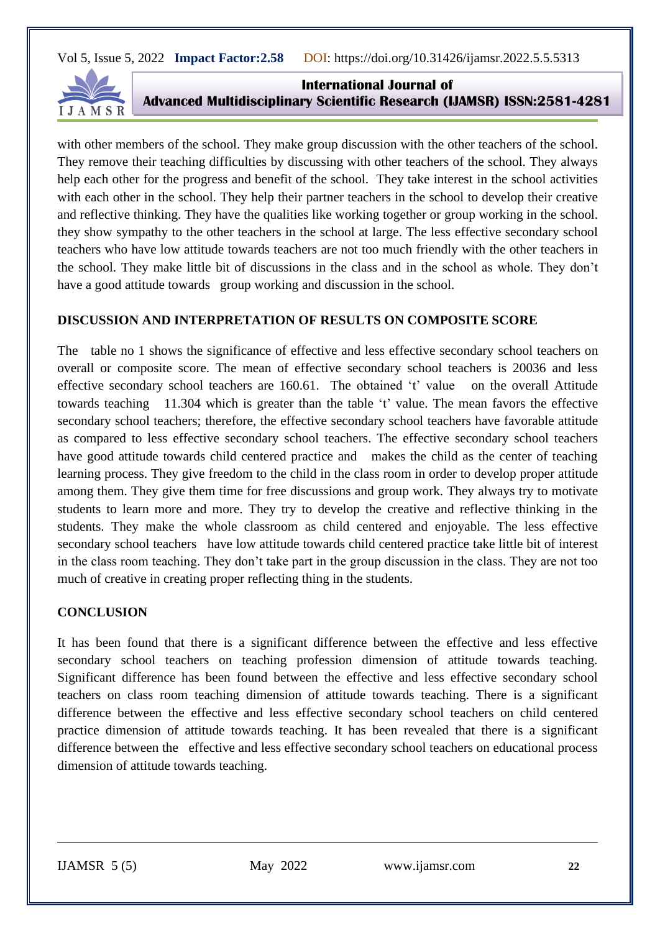

**International Journal of Advanced Multidisciplinary Scientific Research (IJAMSR) ISSN:2581-4281**

with other members of the school. They make group discussion with the other teachers of the school. They remove their teaching difficulties by discussing with other teachers of the school. They always help each other for the progress and benefit of the school. They take interest in the school activities with each other in the school. They help their partner teachers in the school to develop their creative and reflective thinking. They have the qualities like working together or group working in the school. they show sympathy to the other teachers in the school at large. The less effective secondary school teachers who have low attitude towards teachers are not too much friendly with the other teachers in the school. They make little bit of discussions in the class and in the school as whole. They don't have a good attitude towards group working and discussion in the school.

#### **DISCUSSION AND INTERPRETATION OF RESULTS ON COMPOSITE SCORE**

The table no 1 shows the significance of effective and less effective secondary school teachers on overall or composite score. The mean of effective secondary school teachers is 20036 and less effective secondary school teachers are 160.61. The obtained 't' value on the overall Attitude towards teaching 11.304 which is greater than the table 't' value. The mean favors the effective secondary school teachers; therefore, the effective secondary school teachers have favorable attitude as compared to less effective secondary school teachers. The effective secondary school teachers have good attitude towards child centered practice and makes the child as the center of teaching learning process. They give freedom to the child in the class room in order to develop proper attitude among them. They give them time for free discussions and group work. They always try to motivate students to learn more and more. They try to develop the creative and reflective thinking in the students. They make the whole classroom as child centered and enjoyable. The less effective secondary school teachers have low attitude towards child centered practice take little bit of interest in the class room teaching. They don't take part in the group discussion in the class. They are not too much of creative in creating proper reflecting thing in the students.

# **CONCLUSION**

It has been found that there is a significant difference between the effective and less effective secondary school teachers on teaching profession dimension of attitude towards teaching. Significant difference has been found between the effective and less effective secondary school teachers on class room teaching dimension of attitude towards teaching. There is a significant difference between the effective and less effective secondary school teachers on child centered practice dimension of attitude towards teaching. It has been revealed that there is a significant difference between the effective and less effective secondary school teachers on educational process dimension of attitude towards teaching.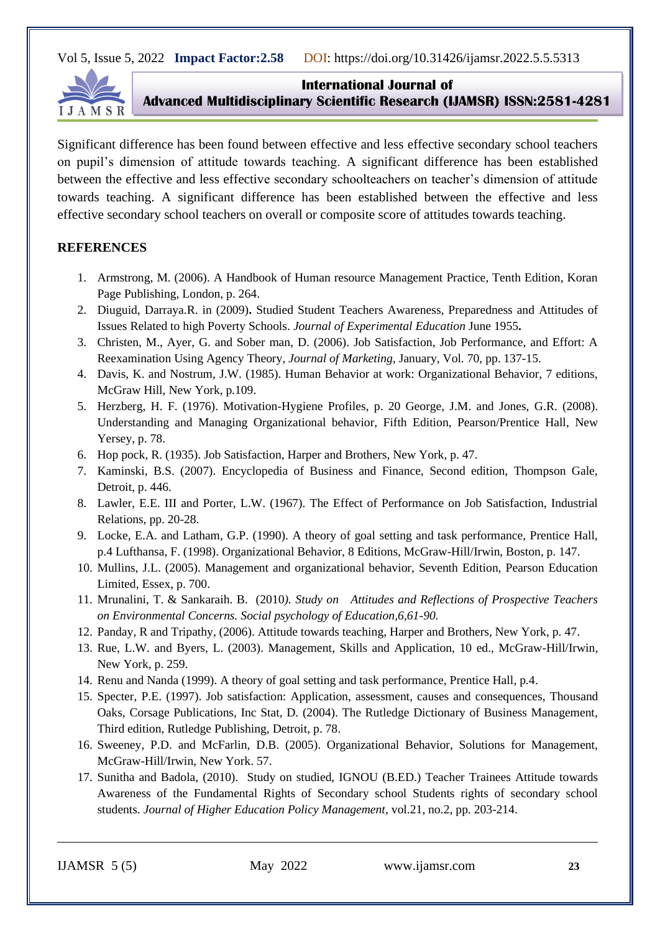

#### **International Journal of**

**Advanced Multidisciplinary Scientific Research (IJAMSR) ISSN:2581-4281**

Significant difference has been found between effective and less effective secondary school teachers on pupil's dimension of attitude towards teaching. A significant difference has been established between the effective and less effective secondary schoolteachers on teacher's dimension of attitude towards teaching. A significant difference has been established between the effective and less effective secondary school teachers on overall or composite score of attitudes towards teaching.

#### **REFERENCES**

- 1. Armstrong, M. (2006). A Handbook of Human resource Management Practice, Tenth Edition, Koran Page Publishing, London, p. 264.
- 2. Diuguid, Darraya.R. in (2009)**.** Studied Student Teachers Awareness, Preparedness and Attitudes of Issues Related to high Poverty Schools. *Journal of Experimental Education* June 1955**.**
- 3. Christen, M., Ayer, G. and Sober man, D. (2006). Job Satisfaction, Job Performance, and Effort: A Reexamination Using Agency Theory*, Journal of Marketing,* January, Vol. 70, pp. 137-15.
- 4. Davis, K. and Nostrum, J.W. (1985). Human Behavior at work: Organizational Behavior, 7 editions, McGraw Hill, New York, p.109.
- 5. Herzberg, H. F. (1976). Motivation-Hygiene Profiles, p. 20 George, J.M. and Jones, G.R. (2008). Understanding and Managing Organizational behavior, Fifth Edition, Pearson/Prentice Hall, New Yersey, p. 78.
- 6. Hop pock, R. (1935). Job Satisfaction, Harper and Brothers, New York, p. 47.
- 7. Kaminski, B.S. (2007). Encyclopedia of Business and Finance, Second edition, Thompson Gale, Detroit, p. 446.
- 8. Lawler, E.E. III and Porter, L.W. (1967). The Effect of Performance on Job Satisfaction, Industrial Relations, pp. 20-28.
- 9. Locke, E.A. and Latham, G.P. (1990). A theory of goal setting and task performance, Prentice Hall, p.4 Lufthansa, F. (1998). Organizational Behavior, 8 Editions, McGraw-Hill/Irwin, Boston, p. 147.
- 10. Mullins, J.L. (2005). Management and organizational behavior, Seventh Edition, Pearson Education Limited, Essex, p. 700.
- 11. Mrunalini, T. & Sankaraih. B. (2010*). Study on Attitudes and Reflections of Prospective Teachers on Environmental Concerns. Social psychology of Education,6,61-90.*
- 12. Panday, R and Tripathy, (2006). Attitude towards teaching, Harper and Brothers, New York, p. 47.
- 13. Rue, L.W. and Byers, L. (2003). Management, Skills and Application, 10 ed., McGraw-Hill/Irwin, New York, p. 259.
- 14. Renu and Nanda (1999). A theory of goal setting and task performance, Prentice Hall, p.4.
- 15. Specter, P.E. (1997). Job satisfaction: Application, assessment, causes and consequences, Thousand Oaks, Corsage Publications, Inc Stat, D. (2004). The Rutledge Dictionary of Business Management, Third edition, Rutledge Publishing, Detroit, p. 78.
- 16. Sweeney, P.D. and McFarlin, D.B. (2005). Organizational Behavior, Solutions for Management, McGraw-Hill/Irwin, New York. 57.
- 17. Sunitha and Badola, (2010). Study on studied, IGNOU (B.ED.) Teacher Trainees Attitude towards Awareness of the Fundamental Rights of Secondary school Students rights of secondary school students. *Journal of Higher Education Policy Management*, vol.21, no.2, pp. 203-214.